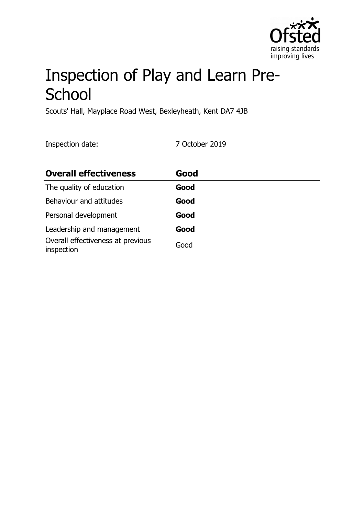

# Inspection of Play and Learn Pre-**School**

Scouts' Hall, Mayplace Road West, Bexleyheath, Kent DA7 4JB

Inspection date: 7 October 2019

| <b>Overall effectiveness</b>                    | Good |
|-------------------------------------------------|------|
| The quality of education                        | Good |
| Behaviour and attitudes                         | Good |
| Personal development                            | Good |
| Leadership and management                       | Good |
| Overall effectiveness at previous<br>inspection | Good |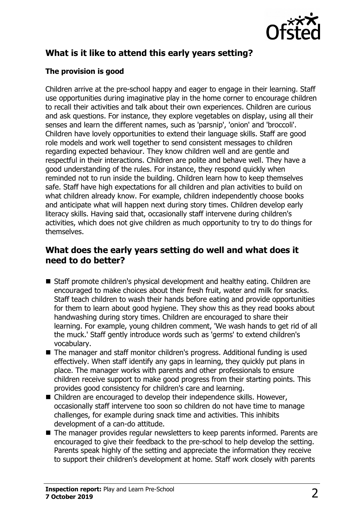

# **What is it like to attend this early years setting?**

#### **The provision is good**

Children arrive at the pre-school happy and eager to engage in their learning. Staff use opportunities during imaginative play in the home corner to encourage children to recall their activities and talk about their own experiences. Children are curious and ask questions. For instance, they explore vegetables on display, using all their senses and learn the different names, such as 'parsnip', 'onion' and 'broccoli'. Children have lovely opportunities to extend their language skills. Staff are good role models and work well together to send consistent messages to children regarding expected behaviour. They know children well and are gentle and respectful in their interactions. Children are polite and behave well. They have a good understanding of the rules. For instance, they respond quickly when reminded not to run inside the building. Children learn how to keep themselves safe. Staff have high expectations for all children and plan activities to build on what children already know. For example, children independently choose books and anticipate what will happen next during story times. Children develop early literacy skills. Having said that, occasionally staff intervene during children's activities, which does not give children as much opportunity to try to do things for themselves.

## **What does the early years setting do well and what does it need to do better?**

- Staff promote children's physical development and healthy eating. Children are encouraged to make choices about their fresh fruit, water and milk for snacks. Staff teach children to wash their hands before eating and provide opportunities for them to learn about good hygiene. They show this as they read books about handwashing during story times. Children are encouraged to share their learning. For example, young children comment, 'We wash hands to get rid of all the muck.' Staff gently introduce words such as 'germs' to extend children's vocabulary.
- $\blacksquare$  The manager and staff monitor children's progress. Additional funding is used effectively. When staff identify any gaps in learning, they quickly put plans in place. The manager works with parents and other professionals to ensure children receive support to make good progress from their starting points. This provides good consistency for children's care and learning.
- $\blacksquare$  Children are encouraged to develop their independence skills. However, occasionally staff intervene too soon so children do not have time to manage challenges, for example during snack time and activities. This inhibits development of a can-do attitude.
- $\blacksquare$  The manager provides regular newsletters to keep parents informed. Parents are encouraged to give their feedback to the pre-school to help develop the setting. Parents speak highly of the setting and appreciate the information they receive to support their children's development at home. Staff work closely with parents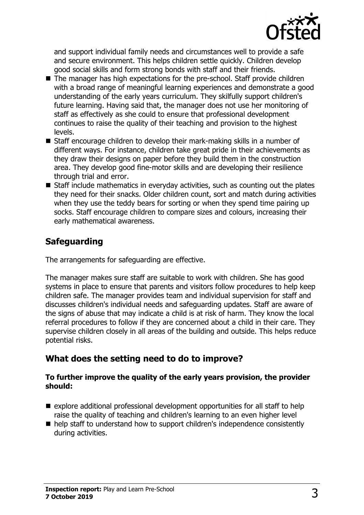

and support individual family needs and circumstances well to provide a safe and secure environment. This helps children settle quickly. Children develop good social skills and form strong bonds with staff and their friends.

- $\blacksquare$  The manager has high expectations for the pre-school. Staff provide children with a broad range of meaningful learning experiences and demonstrate a good understanding of the early years curriculum. They skilfully support children's future learning. Having said that, the manager does not use her monitoring of staff as effectively as she could to ensure that professional development continues to raise the quality of their teaching and provision to the highest levels.
- $\blacksquare$  Staff encourage children to develop their mark-making skills in a number of different ways. For instance, children take great pride in their achievements as they draw their designs on paper before they build them in the construction area. They develop good fine-motor skills and are developing their resilience through trial and error.
- $\blacksquare$  Staff include mathematics in everyday activities, such as counting out the plates they need for their snacks. Older children count, sort and match during activities when they use the teddy bears for sorting or when they spend time pairing up socks. Staff encourage children to compare sizes and colours, increasing their early mathematical awareness.

# **Safeguarding**

The arrangements for safeguarding are effective.

The manager makes sure staff are suitable to work with children. She has good systems in place to ensure that parents and visitors follow procedures to help keep children safe. The manager provides team and individual supervision for staff and discusses children's individual needs and safeguarding updates. Staff are aware of the signs of abuse that may indicate a child is at risk of harm. They know the local referral procedures to follow if they are concerned about a child in their care. They supervise children closely in all areas of the building and outside. This helps reduce potential risks.

# **What does the setting need to do to improve?**

#### **To further improve the quality of the early years provision, the provider should:**

- $\blacksquare$  explore additional professional development opportunities for all staff to help raise the quality of teaching and children's learning to an even higher level
- $\blacksquare$  help staff to understand how to support children's independence consistently during activities.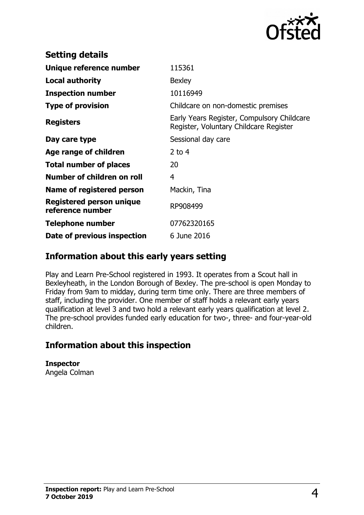

| <b>Setting details</b>                              |                                                                                      |
|-----------------------------------------------------|--------------------------------------------------------------------------------------|
| Unique reference number                             | 115361                                                                               |
| <b>Local authority</b>                              | <b>Bexley</b>                                                                        |
| <b>Inspection number</b>                            | 10116949                                                                             |
| <b>Type of provision</b>                            | Childcare on non-domestic premises                                                   |
| <b>Registers</b>                                    | Early Years Register, Compulsory Childcare<br>Register, Voluntary Childcare Register |
| Day care type                                       | Sessional day care                                                                   |
| Age range of children                               | 2 to $4$                                                                             |
| <b>Total number of places</b>                       | 20                                                                                   |
| Number of children on roll                          | 4                                                                                    |
| Name of registered person                           | Mackin, Tina                                                                         |
| <b>Registered person unique</b><br>reference number | RP908499                                                                             |
| Telephone number                                    | 07762320165                                                                          |
| Date of previous inspection                         | 6 June 2016                                                                          |

### **Information about this early years setting**

Play and Learn Pre-School registered in 1993. It operates from a Scout hall in Bexleyheath, in the London Borough of Bexley. The pre-school is open Monday to Friday from 9am to midday, during term time only. There are three members of staff, including the provider. One member of staff holds a relevant early years qualification at level 3 and two hold a relevant early years qualification at level 2. The pre-school provides funded early education for two-, three- and four-year-old children.

### **Information about this inspection**

**Inspector** Angela Colman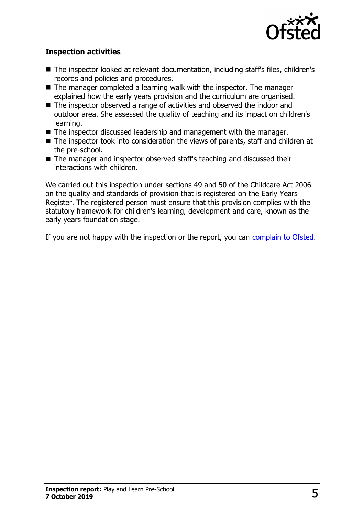

#### **Inspection activities**

- The inspector looked at relevant documentation, including staff's files, children's records and policies and procedures.
- $\blacksquare$  The manager completed a learning walk with the inspector. The manager explained how the early years provision and the curriculum are organised.
- The inspector observed a range of activities and observed the indoor and outdoor area. She assessed the quality of teaching and its impact on children's learning.
- The inspector discussed leadership and management with the manager.
- $\blacksquare$  The inspector took into consideration the views of parents, staff and children at the pre-school.
- The manager and inspector observed staff's teaching and discussed their interactions with children.

We carried out this inspection under sections 49 and 50 of the Childcare Act 2006 on the quality and standards of provision that is registered on the Early Years Register. The registered person must ensure that this provision complies with the statutory framework for children's learning, development and care, known as the early years foundation stage.

If you are not happy with the inspection or the report, you can [complain to Ofsted.](http://www.gov.uk/complain-ofsted-report)